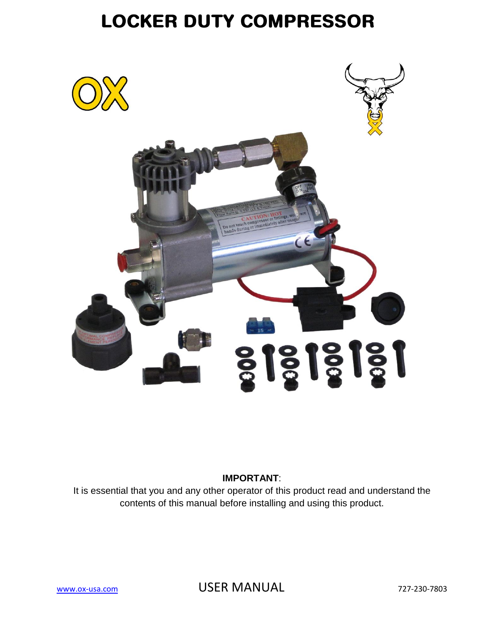

### **IMPORTANT**:

It is essential that you and any other operator of this product read and understand the contents of this manual before installing and using this product.

[www.ox-usa.com](http://www.ox-usa.com/) **USER MANUAL** 727-230-7803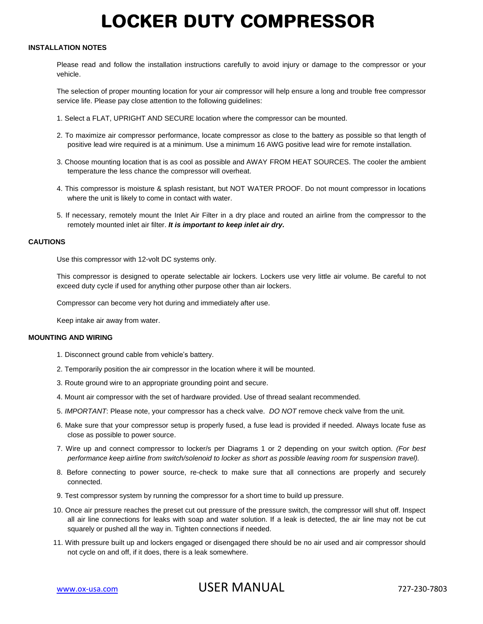### **INSTALLATION NOTES**

Please read and follow the installation instructions carefully to avoid injury or damage to the compressor or your vehicle.

The selection of proper mounting location for your air compressor will help ensure a long and trouble free compressor service life. Please pay close attention to the following guidelines:

- 1. Select a FLAT, UPRIGHT AND SECURE location where the compressor can be mounted.
- 2. To maximize air compressor performance, locate compressor as close to the battery as possible so that length of positive lead wire required is at a minimum. Use a minimum 16 AWG positive lead wire for remote installation.
- 3. Choose mounting location that is as cool as possible and AWAY FROM HEAT SOURCES. The cooler the ambient temperature the less chance the compressor will overheat.
- 4. This compressor is moisture & splash resistant, but NOT WATER PROOF. Do not mount compressor in locations where the unit is likely to come in contact with water.
- 5. If necessary, remotely mount the Inlet Air Filter in a dry place and routed an airline from the compressor to the remotely mounted inlet air filter. *It is important to keep inlet air dry.*

#### **CAUTIONS**

Use this compressor with 12-volt DC systems only.

This compressor is designed to operate selectable air lockers. Lockers use very little air volume. Be careful to not exceed duty cycle if used for anything other purpose other than air lockers.

Compressor can become very hot during and immediately after use.

Keep intake air away from water.

### **MOUNTING AND WIRING**

- 1. Disconnect ground cable from vehicle's battery.
- 2. Temporarily position the air compressor in the location where it will be mounted.
- 3. Route ground wire to an appropriate grounding point and secure.
- 4. Mount air compressor with the set of hardware provided. Use of thread sealant recommended.
- 5. *IMPORTANT*: Please note, your compressor has a check valve. *DO NOT* remove check valve from the unit.
- 6. Make sure that your compressor setup is properly fused, a fuse lead is provided if needed. Always locate fuse as close as possible to power source.
- 7. Wire up and connect compressor to locker/s per Diagrams 1 or 2 depending on your switch option. *(For best performance keep airline from switch/solenoid to locker as short as possible leaving room for suspension travel).*
- 8. Before connecting to power source, re-check to make sure that all connections are properly and securely connected.
- 9. Test compressor system by running the compressor for a short time to build up pressure.
- 10. Once air pressure reaches the preset cut out pressure of the pressure switch, the compressor will shut off. Inspect all air line connections for leaks with soap and water solution. If a leak is detected, the air line may not be cut squarely or pushed all the way in. Tighten connections if needed.
- 11. With pressure built up and lockers engaged or disengaged there should be no air used and air compressor should not cycle on and off, if it does, there is a leak somewhere.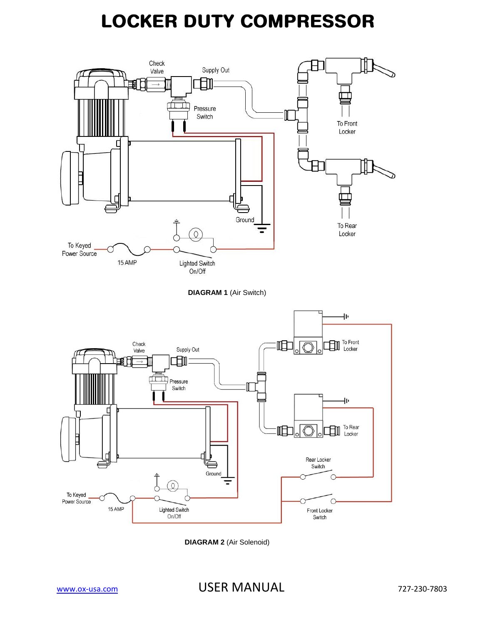

**DIAGRAM 2** (Air Solenoid)